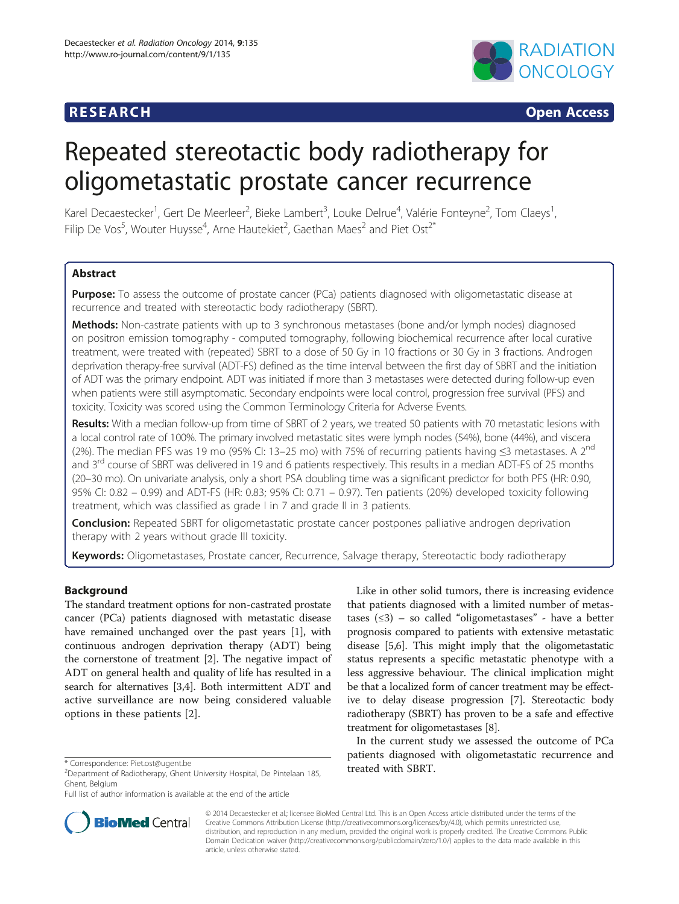# **RESEARCH RESEARCH CONSUMING ACCESS**



# Repeated stereotactic body radiotherapy for oligometastatic prostate cancer recurrence

Karel Decaestecker<sup>1</sup>, Gert De Meerleer<sup>2</sup>, Bieke Lambert<sup>3</sup>, Louke Delrue<sup>4</sup>, Valérie Fonteyne<sup>2</sup>, Tom Claeys<sup>1</sup> , Filip De Vos<sup>5</sup>, Wouter Huysse<sup>4</sup>, Arne Hautekiet<sup>2</sup>, Gaethan Maes<sup>2</sup> and Piet Ost<sup>2\*</sup>

# **Abstract**

**Purpose:** To assess the outcome of prostate cancer (PCa) patients diagnosed with oligometastatic disease at recurrence and treated with stereotactic body radiotherapy (SBRT).

Methods: Non-castrate patients with up to 3 synchronous metastases (bone and/or lymph nodes) diagnosed on positron emission tomography - computed tomography, following biochemical recurrence after local curative treatment, were treated with (repeated) SBRT to a dose of 50 Gy in 10 fractions or 30 Gy in 3 fractions. Androgen deprivation therapy-free survival (ADT-FS) defined as the time interval between the first day of SBRT and the initiation of ADT was the primary endpoint. ADT was initiated if more than 3 metastases were detected during follow-up even when patients were still asymptomatic. Secondary endpoints were local control, progression free survival (PFS) and toxicity. Toxicity was scored using the Common Terminology Criteria for Adverse Events.

Results: With a median follow-up from time of SBRT of 2 years, we treated 50 patients with 70 metastatic lesions with a local control rate of 100%. The primary involved metastatic sites were lymph nodes (54%), bone (44%), and viscera (2%). The median PFS was 19 mo (95% CI: 13–25 mo) with 75% of recurring patients having ≤3 metastases. A 2<sup>nd</sup> and 3<sup>rd</sup> course of SBRT was delivered in 19 and 6 patients respectively. This results in a median ADT-FS of 25 months (20–30 mo). On univariate analysis, only a short PSA doubling time was a significant predictor for both PFS (HR: 0.90, 95% CI: 0.82 – 0.99) and ADT-FS (HR: 0.83; 95% CI: 0.71 – 0.97). Ten patients (20%) developed toxicity following treatment, which was classified as grade I in 7 and grade II in 3 patients.

**Conclusion:** Repeated SBRT for oligometastatic prostate cancer postpones palliative androgen deprivation therapy with 2 years without grade III toxicity.

Keywords: Oligometastases, Prostate cancer, Recurrence, Salvage therapy, Stereotactic body radiotherapy

# Background

The standard treatment options for non-castrated prostate cancer (PCa) patients diagnosed with metastatic disease have remained unchanged over the past years [\[1](#page-8-0)], with continuous androgen deprivation therapy (ADT) being the cornerstone of treatment [[2\]](#page-8-0). The negative impact of ADT on general health and quality of life has resulted in a search for alternatives [[3,](#page-8-0)[4\]](#page-9-0). Both intermittent ADT and active surveillance are now being considered valuable options in these patients [\[2](#page-8-0)].



In the current study we assessed the outcome of PCa patients diagnosed with oligometastatic recurrence and



© 2014 Decaestecker et al.; licensee BioMed Central Ltd. This is an Open Access article distributed under the terms of the Creative Commons Attribution License (<http://creativecommons.org/licenses/by/4.0>), which permits unrestricted use, distribution, and reproduction in any medium, provided the original work is properly credited. The Creative Commons Public Domain Dedication waiver [\(http://creativecommons.org/publicdomain/zero/1.0/\)](http://creativecommons.org/publicdomain/zero/1.0/) applies to the data made available in this article, unless otherwise stated.

<sup>\*</sup> Correspondence: [Piet.ost@ugent.be](mailto:Piet.ost@ugent.be) 2014 University Hospital, De Pintelaan 185, **theated with SBRT.** Ghent, Belgium

Full list of author information is available at the end of the article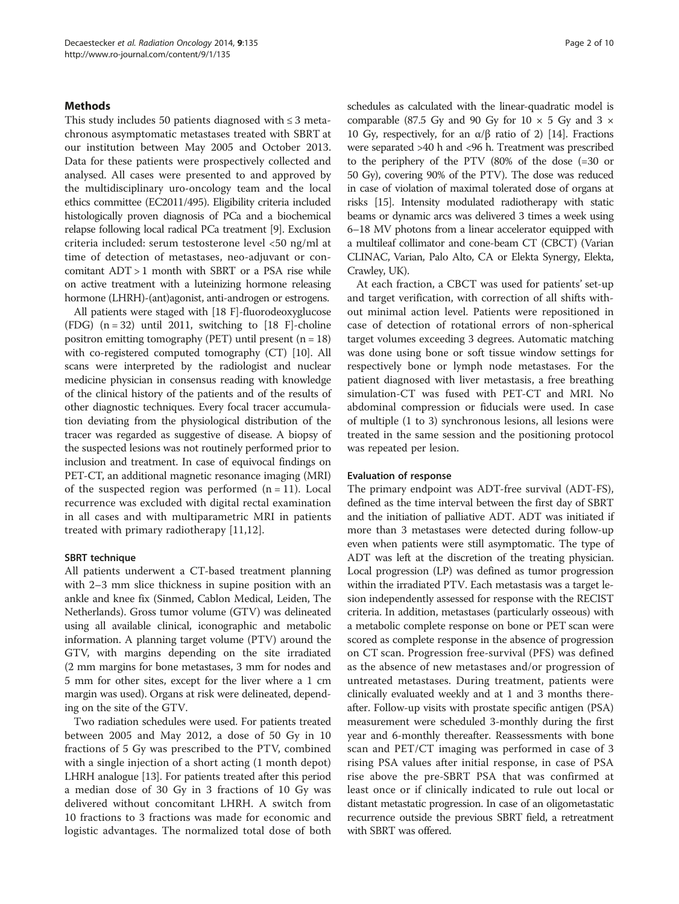## **Methods**

This study includes 50 patients diagnosed with ≤ 3 metachronous asymptomatic metastases treated with SBRT at our institution between May 2005 and October 2013. Data for these patients were prospectively collected and analysed. All cases were presented to and approved by the multidisciplinary uro-oncology team and the local ethics committee (EC2011/495). Eligibility criteria included histologically proven diagnosis of PCa and a biochemical relapse following local radical PCa treatment [\[9\]](#page-9-0). Exclusion criteria included: serum testosterone level <50 ng/ml at time of detection of metastases, neo-adjuvant or concomitant ADT > 1 month with SBRT or a PSA rise while on active treatment with a luteinizing hormone releasing hormone (LHRH)-(ant)agonist, anti-androgen or estrogens.

All patients were staged with [18 F]-fluorodeoxyglucose (FDG)  $(n = 32)$  until 2011, switching to [18 F]-choline positron emitting tomography (PET) until present  $(n = 18)$ with co-registered computed tomography (CT) [\[10](#page-9-0)]. All scans were interpreted by the radiologist and nuclear medicine physician in consensus reading with knowledge of the clinical history of the patients and of the results of other diagnostic techniques. Every focal tracer accumulation deviating from the physiological distribution of the tracer was regarded as suggestive of disease. A biopsy of the suspected lesions was not routinely performed prior to inclusion and treatment. In case of equivocal findings on PET-CT, an additional magnetic resonance imaging (MRI) of the suspected region was performed  $(n = 11)$ . Local recurrence was excluded with digital rectal examination in all cases and with multiparametric MRI in patients treated with primary radiotherapy [\[11](#page-9-0),[12\]](#page-9-0).

#### SBRT technique

All patients underwent a CT-based treatment planning with 2–3 mm slice thickness in supine position with an ankle and knee fix (Sinmed, Cablon Medical, Leiden, The Netherlands). Gross tumor volume (GTV) was delineated using all available clinical, iconographic and metabolic information. A planning target volume (PTV) around the GTV, with margins depending on the site irradiated (2 mm margins for bone metastases, 3 mm for nodes and 5 mm for other sites, except for the liver where a 1 cm margin was used). Organs at risk were delineated, depending on the site of the GTV.

Two radiation schedules were used. For patients treated between 2005 and May 2012, a dose of 50 Gy in 10 fractions of 5 Gy was prescribed to the PTV, combined with a single injection of a short acting (1 month depot) LHRH analogue [\[13](#page-9-0)]. For patients treated after this period a median dose of 30 Gy in 3 fractions of 10 Gy was delivered without concomitant LHRH. A switch from 10 fractions to 3 fractions was made for economic and logistic advantages. The normalized total dose of both schedules as calculated with the linear-quadratic model is comparable (87.5 Gy and 90 Gy for  $10 \times 5$  Gy and  $3 \times$ 10 Gy, respectively, for an α/β ratio of 2) [[14](#page-9-0)]. Fractions were separated >40 h and <96 h. Treatment was prescribed to the periphery of the PTV (80% of the dose (=30 or 50 Gy), covering 90% of the PTV). The dose was reduced in case of violation of maximal tolerated dose of organs at risks [[15\]](#page-9-0). Intensity modulated radiotherapy with static beams or dynamic arcs was delivered 3 times a week using 6–18 MV photons from a linear accelerator equipped with a multileaf collimator and cone-beam CT (CBCT) (Varian CLINAC, Varian, Palo Alto, CA or Elekta Synergy, Elekta, Crawley, UK).

At each fraction, a CBCT was used for patients' set-up and target verification, with correction of all shifts without minimal action level. Patients were repositioned in case of detection of rotational errors of non-spherical target volumes exceeding 3 degrees. Automatic matching was done using bone or soft tissue window settings for respectively bone or lymph node metastases. For the patient diagnosed with liver metastasis, a free breathing simulation-CT was fused with PET-CT and MRI. No abdominal compression or fiducials were used. In case of multiple (1 to 3) synchronous lesions, all lesions were treated in the same session and the positioning protocol was repeated per lesion.

#### Evaluation of response

The primary endpoint was ADT-free survival (ADT-FS), defined as the time interval between the first day of SBRT and the initiation of palliative ADT. ADT was initiated if more than 3 metastases were detected during follow-up even when patients were still asymptomatic. The type of ADT was left at the discretion of the treating physician. Local progression (LP) was defined as tumor progression within the irradiated PTV. Each metastasis was a target lesion independently assessed for response with the RECIST criteria. In addition, metastases (particularly osseous) with a metabolic complete response on bone or PET scan were scored as complete response in the absence of progression on CT scan. Progression free-survival (PFS) was defined as the absence of new metastases and/or progression of untreated metastases. During treatment, patients were clinically evaluated weekly and at 1 and 3 months thereafter. Follow-up visits with prostate specific antigen (PSA) measurement were scheduled 3-monthly during the first year and 6-monthly thereafter. Reassessments with bone scan and PET/CT imaging was performed in case of 3 rising PSA values after initial response, in case of PSA rise above the pre-SBRT PSA that was confirmed at least once or if clinically indicated to rule out local or distant metastatic progression. In case of an oligometastatic recurrence outside the previous SBRT field, a retreatment with SBRT was offered.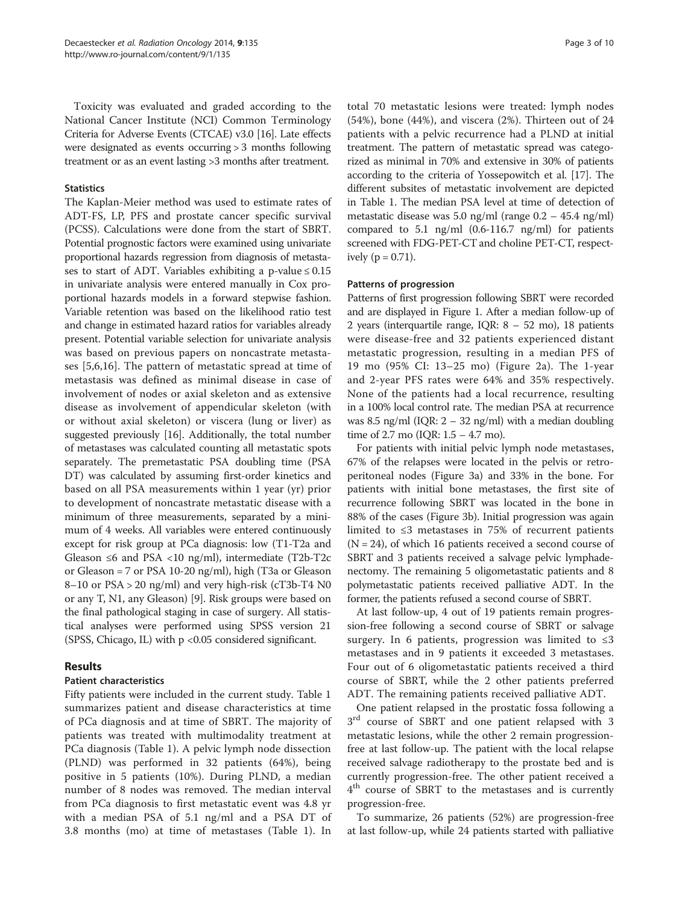Toxicity was evaluated and graded according to the National Cancer Institute (NCI) Common Terminology Criteria for Adverse Events (CTCAE) v3.0 [\[16\]](#page-9-0). Late effects were designated as events occurring > 3 months following treatment or as an event lasting >3 months after treatment.

#### **Statistics**

The Kaplan-Meier method was used to estimate rates of ADT-FS, LP, PFS and prostate cancer specific survival (PCSS). Calculations were done from the start of SBRT. Potential prognostic factors were examined using univariate proportional hazards regression from diagnosis of metastases to start of ADT. Variables exhibiting a p-value  $\leq 0.15$ in univariate analysis were entered manually in Cox proportional hazards models in a forward stepwise fashion. Variable retention was based on the likelihood ratio test and change in estimated hazard ratios for variables already present. Potential variable selection for univariate analysis was based on previous papers on noncastrate metastases [\[5](#page-9-0),[6,16\]](#page-9-0). The pattern of metastatic spread at time of metastasis was defined as minimal disease in case of involvement of nodes or axial skeleton and as extensive disease as involvement of appendicular skeleton (with or without axial skeleton) or viscera (lung or liver) as suggested previously [[16\]](#page-9-0). Additionally, the total number of metastases was calculated counting all metastatic spots separately. The premetastatic PSA doubling time (PSA DT) was calculated by assuming first-order kinetics and based on all PSA measurements within 1 year (yr) prior to development of noncastrate metastatic disease with a minimum of three measurements, separated by a minimum of 4 weeks. All variables were entered continuously except for risk group at PCa diagnosis: low (T1-T2a and Gleason  $\leq 6$  and PSA  $\lt 10$  ng/ml), intermediate (T2b-T2c or Gleason = 7 or PSA 10-20 ng/ml), high (T3a or Gleason  $8-10$  or  $PSA > 20$  ng/ml) and very high-risk (cT3b-T4 N0 or any T, N1, any Gleason) [\[9](#page-9-0)]. Risk groups were based on the final pathological staging in case of surgery. All statistical analyses were performed using SPSS version 21 (SPSS, Chicago, IL) with p <0.05 considered significant.

# Results

# Patient characteristics

Fifty patients were included in the current study. Table [1](#page-3-0) summarizes patient and disease characteristics at time of PCa diagnosis and at time of SBRT. The majority of patients was treated with multimodality treatment at PCa diagnosis (Table [1\)](#page-3-0). A pelvic lymph node dissection (PLND) was performed in 32 patients (64%), being positive in 5 patients (10%). During PLND, a median number of 8 nodes was removed. The median interval from PCa diagnosis to first metastatic event was 4.8 yr with a median PSA of 5.1 ng/ml and a PSA DT of 3.8 months (mo) at time of metastases (Table [1](#page-3-0)). In

total 70 metastatic lesions were treated: lymph nodes (54%), bone (44%), and viscera (2%). Thirteen out of 24 patients with a pelvic recurrence had a PLND at initial treatment. The pattern of metastatic spread was categorized as minimal in 70% and extensive in 30% of patients according to the criteria of Yossepowitch et al. [\[17\]](#page-9-0). The different subsites of metastatic involvement are depicted in Table [1](#page-3-0). The median PSA level at time of detection of metastatic disease was 5.0 ng/ml (range 0.2 – 45.4 ng/ml) compared to 5.1 ng/ml (0.6-116.7 ng/ml) for patients screened with FDG-PET-CT and choline PET-CT, respectively ( $p = 0.71$ ).

## Patterns of progression

Patterns of first progression following SBRT were recorded and are displayed in Figure [1](#page-4-0). After a median follow-up of 2 years (interquartile range, IQR: 8 – 52 mo), 18 patients were disease-free and 32 patients experienced distant metastatic progression, resulting in a median PFS of 19 mo (95% CI: 13–25 mo) (Figure [2](#page-5-0)a). The 1-year and 2-year PFS rates were 64% and 35% respectively. None of the patients had a local recurrence, resulting in a 100% local control rate. The median PSA at recurrence was 8.5 ng/ml (IQR:  $2 - 32$  ng/ml) with a median doubling time of 2.7 mo (IQR: 1.5 – 4.7 mo).

For patients with initial pelvic lymph node metastases, 67% of the relapses were located in the pelvis or retroperitoneal nodes (Figure [3](#page-6-0)a) and 33% in the bone. For patients with initial bone metastases, the first site of recurrence following SBRT was located in the bone in 88% of the cases (Figure [3](#page-6-0)b). Initial progression was again limited to ≤3 metastases in 75% of recurrent patients  $(N = 24)$ , of which 16 patients received a second course of SBRT and 3 patients received a salvage pelvic lymphadenectomy. The remaining 5 oligometastatic patients and 8 polymetastatic patients received palliative ADT. In the former, the patients refused a second course of SBRT.

At last follow-up, 4 out of 19 patients remain progression-free following a second course of SBRT or salvage surgery. In 6 patients, progression was limited to  $\leq 3$ metastases and in 9 patients it exceeded 3 metastases. Four out of 6 oligometastatic patients received a third course of SBRT, while the 2 other patients preferred ADT. The remaining patients received palliative ADT.

One patient relapsed in the prostatic fossa following a  $3<sup>rd</sup>$  course of SBRT and one patient relapsed with 3 metastatic lesions, while the other 2 remain progressionfree at last follow-up. The patient with the local relapse received salvage radiotherapy to the prostate bed and is currently progression-free. The other patient received a  $4<sup>th</sup>$  course of SBRT to the metastases and is currently progression-free.

To summarize, 26 patients (52%) are progression-free at last follow-up, while 24 patients started with palliative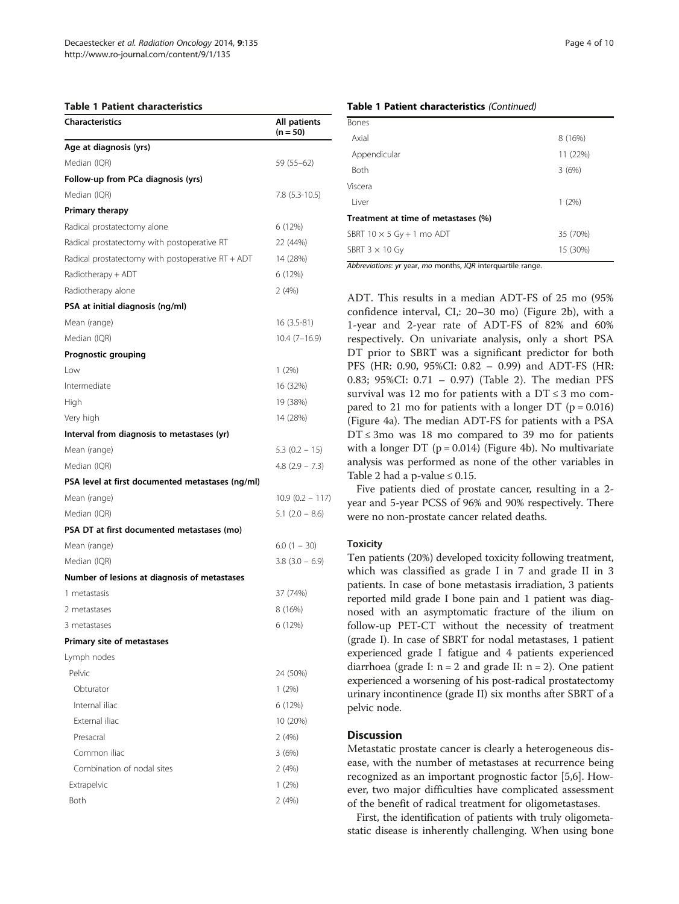#### <span id="page-3-0"></span>Table 1 Patient characteristics

| Characteristics                                     | All patients<br>$(n = 50)$ |  |
|-----------------------------------------------------|----------------------------|--|
| Age at diagnosis (yrs)                              |                            |  |
| Median (IQR)                                        | 59 (55–62)                 |  |
| Follow-up from PCa diagnosis (yrs)                  |                            |  |
| Median (IQR)                                        | 7.8 (5.3-10.5)             |  |
| <b>Primary therapy</b>                              |                            |  |
| Radical prostatectomy alone                         | 6 (12%)                    |  |
| Radical prostatectomy with postoperative RT         | 22 (44%)                   |  |
| Radical prostatectomy with postoperative $RT + ADT$ | 14 (28%)                   |  |
| Radiotherapy + ADT                                  | 6 (12%)                    |  |
| Radiotherapy alone                                  | 2(4%)                      |  |
| PSA at initial diagnosis (ng/ml)                    |                            |  |
| Mean (range)                                        | 16 (3.5-81)                |  |
| Median (IQR)                                        | $10.4(7-16.9)$             |  |
| Prognostic grouping                                 |                            |  |
| Low                                                 | $1(2\%)$                   |  |
| Intermediate                                        | 16 (32%)                   |  |
| High                                                | 19 (38%)                   |  |
| Very high                                           | 14 (28%)                   |  |
| Interval from diagnosis to metastases (yr)          |                            |  |
| Mean (range)                                        | $5.3(0.2 - 15)$            |  |
| Median (IQR)                                        | $4.8$ (2.9 – 7.3)          |  |
| PSA level at first documented metastases (ng/ml)    |                            |  |
| Mean (range)                                        | $10.9(0.2 - 117)$          |  |
| Median (IQR)                                        | $5.1$ (2.0 – 8.6)          |  |
| PSA DT at first documented metastases (mo)          |                            |  |
| Mean (range)                                        | $6.0(1 - 30)$              |  |
| Median (IQR)                                        | $3.8(3.0 - 6.9)$           |  |
| Number of lesions at diagnosis of metastases        |                            |  |
| 1 metastasis                                        | 37 (74%)                   |  |
| 2 metastases                                        | 8 (16%)                    |  |
| 3 metastases                                        | 6 (12%)                    |  |
| Primary site of metastases                          |                            |  |
| Lymph nodes                                         |                            |  |
| Pelvic                                              | 24 (50%)                   |  |
| Obturator                                           | $1(2\%)$                   |  |
| Internal iliac                                      | 6 (12%)                    |  |
| External iliac                                      | 10 (20%)                   |  |
| Presacral                                           | 2(4%)                      |  |
| Common iliac                                        | 3(6%)                      |  |
| Combination of nodal sites                          | 2(4%)                      |  |
| Extrapelvic                                         | $1(2\%)$                   |  |
| <b>Both</b>                                         | 2(4%)                      |  |

#### Table 1 Patient characteristics (Continued)

| Bones                               |          |
|-------------------------------------|----------|
| Axial                               | 8 (16%)  |
| Appendicular                        | 11 (22%) |
| Both                                | 3(6%)    |
| Viscera                             |          |
| Liver                               | 1(2%)    |
| Treatment at time of metastases (%) |          |
| SBRT $10 \times 5$ Gy + 1 mo ADT    | 35 (70%) |
| SBRT $3 \times 10$ Gy               | 15 (30%) |
| $\overline{\cdots}$<br>1000<br>$-1$ |          |

Abbreviations: yr year, mo months, IQR interquartile range.

ADT. This results in a median ADT-FS of 25 mo (95% confidence interval, CI,: 20–30 mo) (Figure [2](#page-5-0)b), with a 1-year and 2-year rate of ADT-FS of 82% and 60% respectively. On univariate analysis, only a short PSA DT prior to SBRT was a significant predictor for both PFS (HR: 0.90, 95%CI: 0.82 – 0.99) and ADT-FS (HR: 0.83; 95%CI: 0.71 – 0.97) (Table [2](#page-6-0)). The median PFS survival was 12 mo for patients with a  $DT \leq 3$  mo compared to 21 mo for patients with a longer DT  $(p = 0.016)$ (Figure [4](#page-7-0)a). The median ADT-FS for patients with a PSA  $DT \leq 3$ mo was 18 mo compared to 39 mo for patients with a longer DT ( $p = 0.014$ ) (Figure [4](#page-7-0)b). No multivariate analysis was performed as none of the other variables in Table [2](#page-6-0) had a p-value  $\leq 0.15$ .

Five patients died of prostate cancer, resulting in a 2 year and 5-year PCSS of 96% and 90% respectively. There were no non-prostate cancer related deaths.

#### **Toxicity**

Ten patients (20%) developed toxicity following treatment, which was classified as grade I in 7 and grade II in 3 patients. In case of bone metastasis irradiation, 3 patients reported mild grade I bone pain and 1 patient was diagnosed with an asymptomatic fracture of the ilium on follow-up PET-CT without the necessity of treatment (grade I). In case of SBRT for nodal metastases, 1 patient experienced grade I fatigue and 4 patients experienced diarrhoea (grade I:  $n = 2$  and grade II:  $n = 2$ ). One patient experienced a worsening of his post-radical prostatectomy urinary incontinence (grade II) six months after SBRT of a pelvic node.

# **Discussion**

Metastatic prostate cancer is clearly a heterogeneous disease, with the number of metastases at recurrence being recognized as an important prognostic factor [\[5,6](#page-9-0)]. However, two major difficulties have complicated assessment of the benefit of radical treatment for oligometastases.

First, the identification of patients with truly oligometastatic disease is inherently challenging. When using bone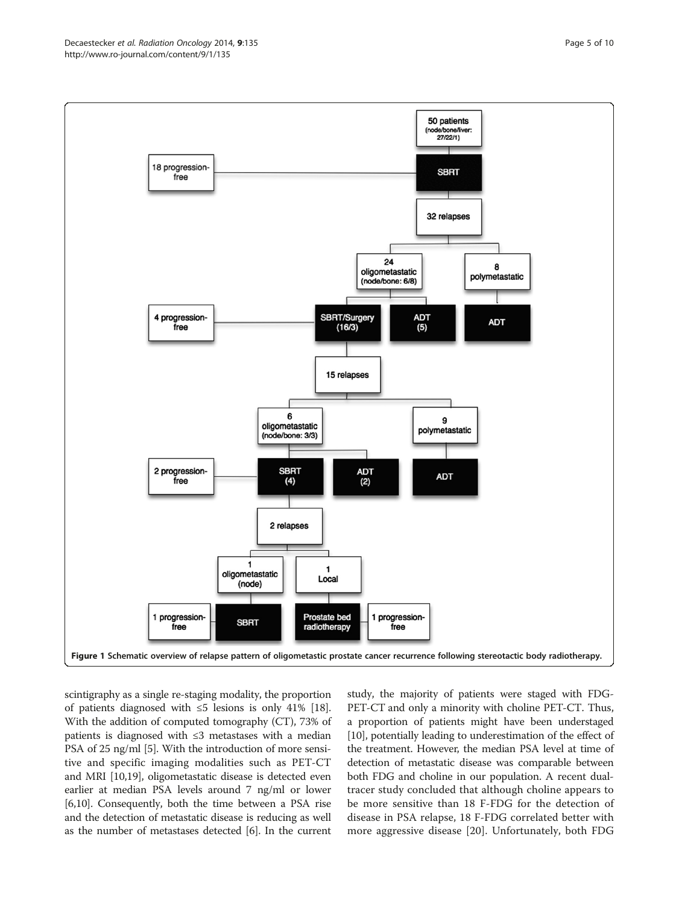<span id="page-4-0"></span>

scintigraphy as a single re-staging modality, the proportion of patients diagnosed with ≤5 lesions is only 41% [[18](#page-9-0)]. With the addition of computed tomography (CT), 73% of patients is diagnosed with ≤3 metastases with a median PSA of 25 ng/ml [\[5](#page-9-0)]. With the introduction of more sensitive and specific imaging modalities such as PET-CT and MRI [[10,19](#page-9-0)], oligometastatic disease is detected even earlier at median PSA levels around 7 ng/ml or lower [[6,10](#page-9-0)]. Consequently, both the time between a PSA rise and the detection of metastatic disease is reducing as well as the number of metastases detected [[6](#page-9-0)]. In the current

study, the majority of patients were staged with FDG-PET-CT and only a minority with choline PET-CT. Thus, a proportion of patients might have been understaged [[10](#page-9-0)], potentially leading to underestimation of the effect of the treatment. However, the median PSA level at time of detection of metastatic disease was comparable between both FDG and choline in our population. A recent dualtracer study concluded that although choline appears to be more sensitive than 18 F-FDG for the detection of disease in PSA relapse, 18 F-FDG correlated better with more aggressive disease [\[20](#page-9-0)]. Unfortunately, both FDG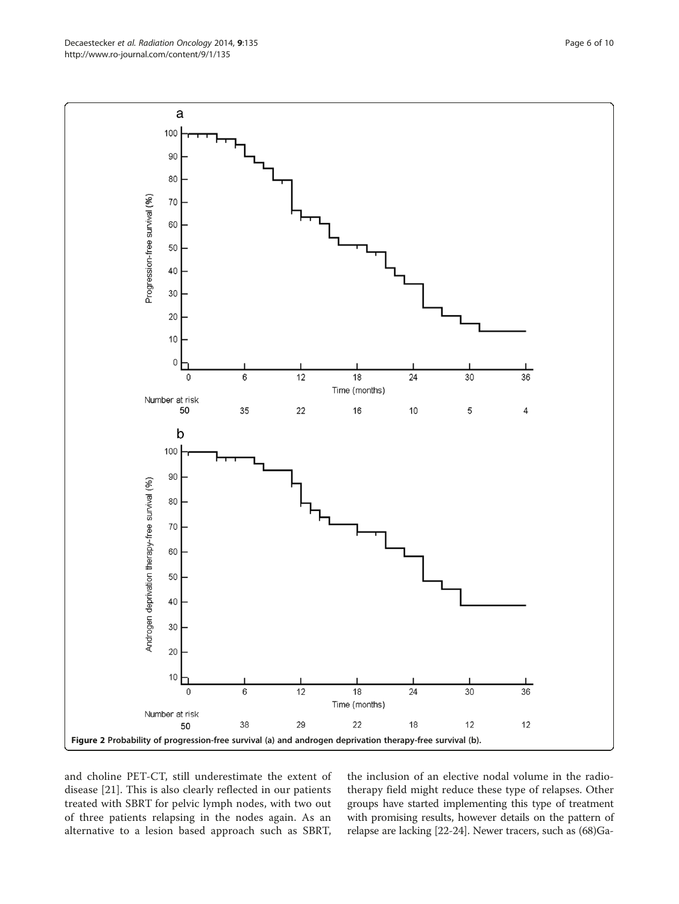and choline PET-CT, still underestimate the extent of disease [\[21](#page-9-0)]. This is also clearly reflected in our patients treated with SBRT for pelvic lymph nodes, with two out of three patients relapsing in the nodes again. As an alternative to a lesion based approach such as SBRT,

the inclusion of an elective nodal volume in the radiotherapy field might reduce these type of relapses. Other groups have started implementing this type of treatment with promising results, however details on the pattern of relapse are lacking [\[22-24\]](#page-9-0). Newer tracers, such as (68)Ga-

<span id="page-5-0"></span>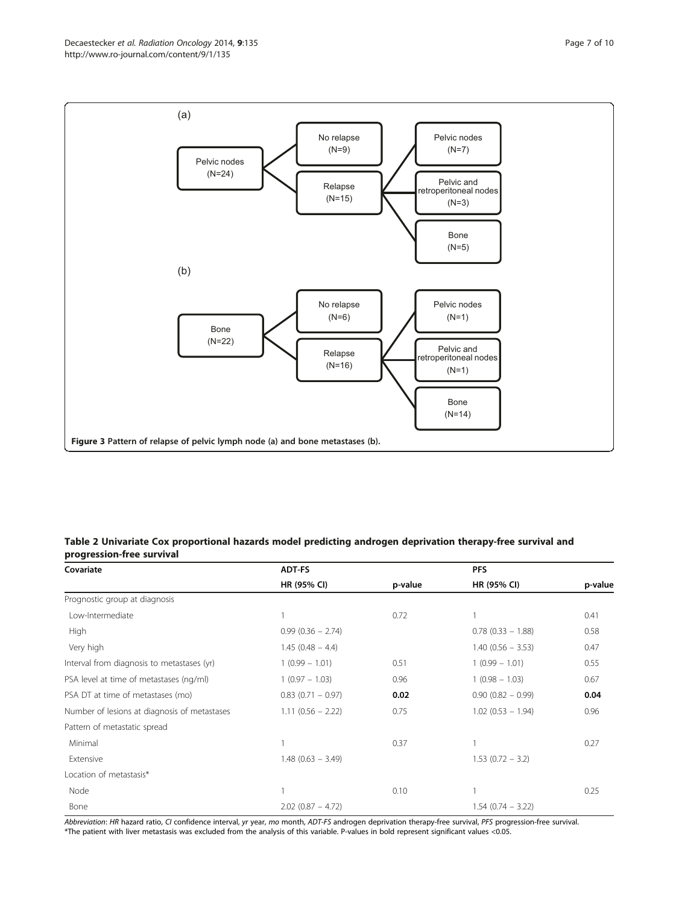<span id="page-6-0"></span>

# Table 2 Univariate Cox proportional hazards model predicting androgen deprivation therapy-free survival and progression-free survival

| Covariate                                    | <b>ADT-FS</b>        |         | <b>PFS</b>           |         |
|----------------------------------------------|----------------------|---------|----------------------|---------|
|                                              | HR (95% CI)          | p-value | HR (95% CI)          | p-value |
| Prognostic group at diagnosis                |                      |         |                      |         |
| Low-Intermediate                             |                      | 0.72    |                      | 0.41    |
| High                                         | $0.99(0.36 - 2.74)$  |         | $0.78$ (0.33 - 1.88) | 0.58    |
| Very high                                    | $1.45(0.48 - 4.4)$   |         | $1.40(0.56 - 3.53)$  | 0.47    |
| Interval from diagnosis to metastases (yr)   | $1(0.99 - 1.01)$     | 0.51    | $1(0.99 - 1.01)$     | 0.55    |
| PSA level at time of metastases (ng/ml)      | $1(0.97 - 1.03)$     | 0.96    | $1(0.98 - 1.03)$     | 0.67    |
| PSA DT at time of metastases (mo)            | $0.83$ (0.71 - 0.97) | 0.02    | $0.90(0.82 - 0.99)$  | 0.04    |
| Number of lesions at diagnosis of metastases | $1.11(0.56 - 2.22)$  | 0.75    | $1.02$ (0.53 - 1.94) | 0.96    |
| Pattern of metastatic spread                 |                      |         |                      |         |
| Minimal                                      |                      | 0.37    |                      | 0.27    |
| Extensive                                    | $1.48(0.63 - 3.49)$  |         | $1.53$ (0.72 – 3.2)  |         |
| Location of metastasis*                      |                      |         |                      |         |
| Node                                         |                      | 0.10    |                      | 0.25    |
| Bone                                         | $2.02$ (0.87 - 4.72) |         | $1.54(0.74 - 3.22)$  |         |

Abbreviation: HR hazard ratio, CI confidence interval, yr year, mo month, ADT-FS androgen deprivation therapy-free survival, PFS progression-free survival. \*The patient with liver metastasis was excluded from the analysis of this variable. P-values in bold represent significant values <0.05.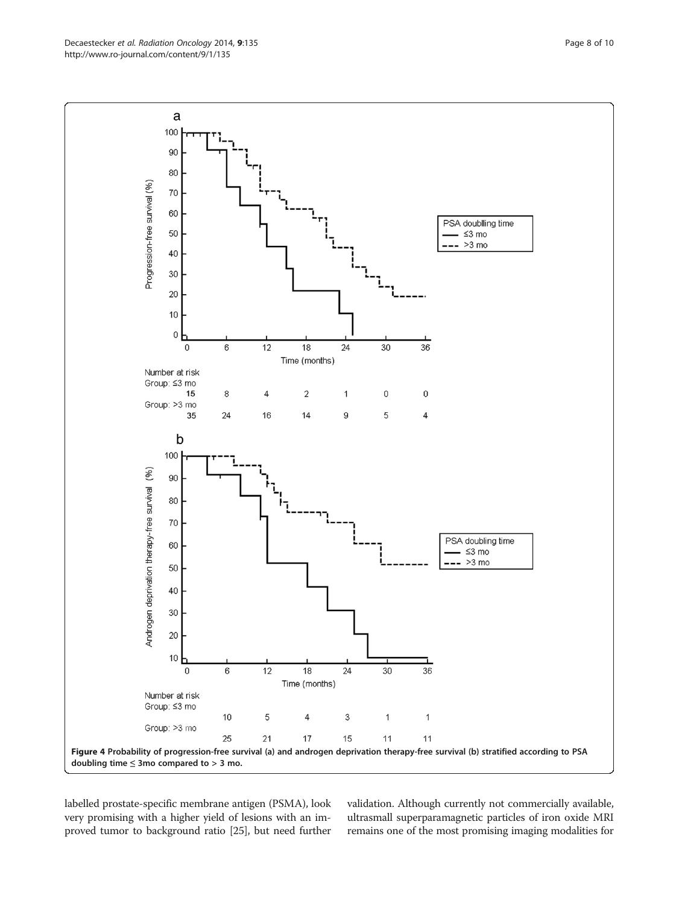<span id="page-7-0"></span>Decaestecker et al. Radiation Oncology 2014, 9:135 Page 8 of 10 http://www.ro-journal.com/content/9/1/135



labelled prostate-specific membrane antigen (PSMA), look very promising with a higher yield of lesions with an improved tumor to background ratio [[25](#page-9-0)], but need further validation. Although currently not commercially available, ultrasmall superparamagnetic particles of iron oxide MRI remains one of the most promising imaging modalities for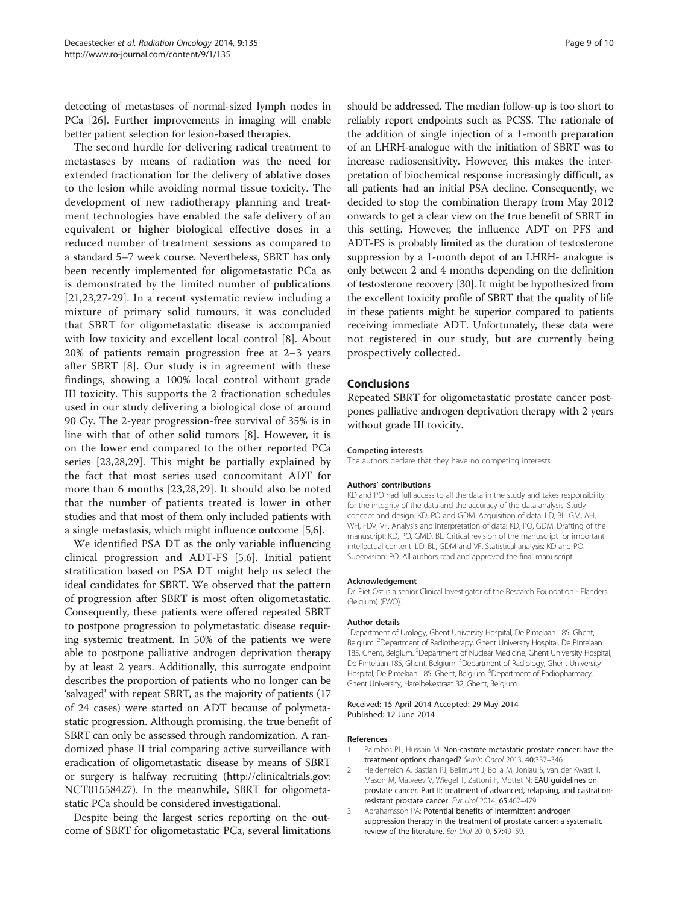<span id="page-8-0"></span>detecting of metastases of normal-sized lymph nodes in PCa [[26](#page-9-0)]. Further improvements in imaging will enable better patient selection for lesion-based therapies.

The second hurdle for delivering radical treatment to metastases by means of radiation was the need for extended fractionation for the delivery of ablative doses to the lesion while avoiding normal tissue toxicity. The development of new radiotherapy planning and treatment technologies have enabled the safe delivery of an equivalent or higher biological effective doses in a reduced number of treatment sessions as compared to a standard 5–7 week course. Nevertheless, SBRT has only been recently implemented for oligometastatic PCa as is demonstrated by the limited number of publications [[21,23,27](#page-9-0)-[29](#page-9-0)]. In a recent systematic review including a mixture of primary solid tumours, it was concluded that SBRT for oligometastatic disease is accompanied with low toxicity and excellent local control [\[8](#page-9-0)]. About 20% of patients remain progression free at 2–3 years after SBRT [\[8](#page-9-0)]. Our study is in agreement with these findings, showing a 100% local control without grade III toxicity. This supports the 2 fractionation schedules used in our study delivering a biological dose of around 90 Gy. The 2-year progression-free survival of 35% is in line with that of other solid tumors [\[8](#page-9-0)]. However, it is on the lower end compared to the other reported PCa series [[23,28,29](#page-9-0)]. This might be partially explained by the fact that most series used concomitant ADT for more than 6 months [[23,28](#page-9-0),[29](#page-9-0)]. It should also be noted that the number of patients treated is lower in other studies and that most of them only included patients with a single metastasis, which might influence outcome [[5,6](#page-9-0)].

We identified PSA DT as the only variable influencing clinical progression and ADT-FS [\[5,6\]](#page-9-0). Initial patient stratification based on PSA DT might help us select the ideal candidates for SBRT. We observed that the pattern of progression after SBRT is most often oligometastatic. Consequently, these patients were offered repeated SBRT to postpone progression to polymetastatic disease requiring systemic treatment. In 50% of the patients we were able to postpone palliative androgen deprivation therapy by at least 2 years. Additionally, this surrogate endpoint describes the proportion of patients who no longer can be 'salvaged' with repeat SBRT, as the majority of patients (17 of 24 cases) were started on ADT because of polymetastatic progression. Although promising, the true benefit of SBRT can only be assessed through randomization. A randomized phase II trial comparing active surveillance with eradication of oligometastatic disease by means of SBRT or surgery is halfway recruiting ([http://clinicaltrials.gov:](http://clinicaltrials.gov: NCT01558427) [NCT01558427](http://clinicaltrials.gov: NCT01558427)). In the meanwhile, SBRT for oligometastatic PCa should be considered investigational.

Despite being the largest series reporting on the outcome of SBRT for oligometastatic PCa, several limitations

should be addressed. The median follow-up is too short to reliably report endpoints such as PCSS. The rationale of the addition of single injection of a 1-month preparation of an LHRH-analogue with the initiation of SBRT was to increase radiosensitivity. However, this makes the interpretation of biochemical response increasingly difficult, as all patients had an initial PSA decline. Consequently, we decided to stop the combination therapy from May 2012 onwards to get a clear view on the true benefit of SBRT in this setting. However, the influence ADT on PFS and ADT-FS is probably limited as the duration of testosterone suppression by a 1-month depot of an LHRH- analogue is only between 2 and 4 months depending on the definition of testosterone recovery [\[30\]](#page-9-0). It might be hypothesized from the excellent toxicity profile of SBRT that the quality of life in these patients might be superior compared to patients receiving immediate ADT. Unfortunately, these data were not registered in our study, but are currently being prospectively collected.

#### Conclusions

Repeated SBRT for oligometastatic prostate cancer postpones palliative androgen deprivation therapy with 2 years without grade III toxicity.

#### Competing interests

The authors declare that they have no competing interests.

#### Authors' contributions

KD and PO had full access to all the data in the study and takes responsibility for the integrity of the data and the accuracy of the data analysis. Study concept and design: KD, PO and GDM. Acquisition of data: LD, BL, GM, AH, WH, FDV, VF. Analysis and interpretation of data: KD, PO, GDM. Drafting of the manuscript: KD, PO, GMD, BL. Critical revision of the manuscript for important intellectual content: LD, BL, GDM and VF. Statistical analysis: KD and PO. Supervision: PO. All authors read and approved the final manuscript.

#### Acknowledgement

Dr. Piet Ost is a senior Clinical Investigator of the Research Foundation - Flanders (Belgium) (FWO).

#### Author details

<sup>1</sup> Department of Urology, Ghent University Hospital, De Pintelaan 185, Ghent Belgium. <sup>2</sup>Department of Radiotherapy, Ghent University Hospital, De Pintelaan 185, Ghent, Belgium. <sup>3</sup> Department of Nuclear Medicine, Ghent University Hospital, De Pintelaan 185, Ghent, Belgium. <sup>4</sup>Department of Radiology, Ghent University Hospital, De Pintelaan 185, Ghent, Belgium. <sup>5</sup>Department of Radiopharmacy, Ghent University, Harelbekestraat 32, Ghent, Belgium.

#### Received: 15 April 2014 Accepted: 29 May 2014 Published: 12 June 2014

#### References

- 1. Palmbos PL, Hussain M: Non-castrate metastatic prostate cancer: have the treatment options changed? Semin Oncol 2013, 40:337–346.
- 2. Heidenreich A, Bastian PJ, Bellmunt J, Bolla M, Joniau S, van der Kwast T, Mason M, Matveev V, Wiegel T, Zattoni F, Mottet N: EAU guidelines on prostate cancer. Part II: treatment of advanced, relapsing, and castrationresistant prostate cancer. Eur Urol 2014, 65:467–479.
- 3. Abrahamsson PA: Potential benefits of intermittent androgen suppression therapy in the treatment of prostate cancer: a systematic review of the literature. Eur Urol 2010, 57:49–59.